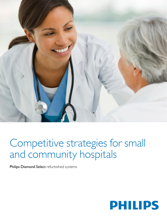

# Competitive strategies for small and community hospitals

Philips Diamond Select refurbished systems

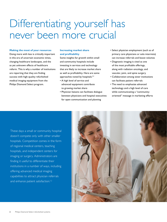# Differentiating yourself has never been more crucial

## **Making the most of your resources**

Doing more with less is critically important in this era of uncertain economic times, changing healthcare landscapes, and the as yet unknown effects of healthcare reform. This is why a number of institutions are reporting that they are finding success with high-quality refurbished medical imaging equipment from the Philips Diamond Select program.

# **Increasing market share and profitability**

Some insights for growth within small and community hospitals include investing in services and technology that are likely to increase market share as well as profitability. Here are some approaches noted by hospitals:<sup>1,2</sup>

- A high level of service and advanced equipment contribute to growing market share
- Physician liaisons can facilitate dialogue between physicians and hospital executives for open communication and planning
- Select physician employment (such as of primary care physicians or solo internists) can increase referrals and boost volumes
- Diagnostic imaging is cited as one of the most profitable offerings, along with radiation oncology, and vascular, joint, and spine surgery
- Collaboration among sister institutions can facilitate patient referrals
- The need to emphasize advanced technology and a high level of care while communicating a "communityoriented" message in marketing efforts

These days a small or community hospital doesn't compete only with other smaller hospitals. Competition comes in the form of regional medical centers, teaching hospitals, and independent centers for imaging or surgery. Administrators are finding it useful to differentiate their institutions in a number of ways, including offering advanced medical imaging capabilities to attract physician referrals and enhance patient satisfaction.<sup>1,2</sup>

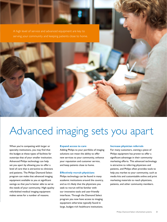A high level of service and advanced equipment are key to



# Advanced imaging sets you apart

When you're competing with larger or specialty institutions, you may find that the budget at these types of facilities far outstrips that of your smaller institution. Advanced Philips technology can help set you apart by allowing you to offer a level of care that is attractive to clinicians and patients. The Philips Diamond Select program can make that advanced imaging equipment available to you at significant savings so that you're better able to serve the needs of your community. High-quality refurbished medical imaging equipment makes sense for a number of reasons.

## **Expand access to care**

Adding Philips to your portfolio of imaging solutions can mean the ability to offer new services to your community, enhance your reputation and customer service, and keep patients close to home.

## **Effectively recruit physicians**

Philips technology can be found in many academic institutions around the country, and so it's likely that the physicians you seek to recruit will be familiar with our innovative tools and user-friendly interfaces. Through the Diamond Select program you now have access to imaging equipment otherwise typically found in large, budget-rich healthcare institutions.

## **Increase physician referrals**

For many customers, owning a piece of Philips equipment has proven to offer a significant advantage in their community marketing efforts. This advanced technology is attractive to referring physicians and patients, and Philips often provides tools to help you market to your community, such as media kits and customizable online and print marketing materials to reach physicians, patients, and other community members.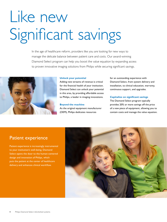# Like new Significant savings

In the age of healthcare reform, providers like you are looking for new ways to manage the delicate balance between patient care and costs. Our award-winning Diamond Select program can help you boost the value equation by expanding access to proven innovative imaging solutions from Philips while securing significant savings.



# **Unlock your potential**

Adding new streams of revenue is critical for the financial health of your institution. Diamond Select can unlock your potential in this area, by providing affordable access to Philips, a leader in imaging innovations.

## **Beyond the machine**

As the original equipment manufacturer (OEM), Philips dedicates resources

for an outstanding experience with Diamond Select, from system delivery and installation, to clinical education, warranty, continuous support, and upgrades.

# **Capitalize on significant savings**

The Diamond Select program typically provides 20% or more savings off the price of a new piece of equipment, allowing you to contain costs and manage the value equation.

# Patient experience

Patient experience is increasingly instrumental to your institution's well-being. Diamond Select opens the door to the human-centered design and innovation of Philips, which puts the patient at the center of healthcare delivery and enhances clinical workflow.

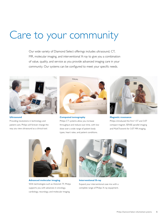# Care to your community

Our wide variety of Diamond Select offerings includes ultrasound, CT, MR, molecular imaging, and interventional X-ray to give you a combination of value, quality, and service as you provide advanced imaging care in your community. Our systems can be configured to meet your specific needs.



**Ultrasound** Providing revolutions in technology and patient care, Philips will forever change the way you view ultrasound as a clinical tool.



**Computed tomography**

Philips CT systems allow you increase throughput and reduce scan time, with low dose over a wide range of patient body types, heart rates, and patient conditions.



**Magnetic resonance** Philips introduced the first 1.5T and 3.0T compact magnet, SENSE parallel imaging and MultiTransmit for 3.0T MR imaging.



**Advanced molecular imaging** With technologies such as Astonish TF, Philips supports you with advances in oncology, cardiology, neurology, and molecular imaging.



**Interventional X-ray** Expand your interventional case mix with a complete range of Philips X-ray equipment.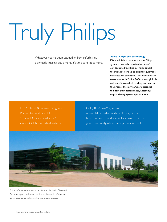# Truly Philips

Whatever you've been expecting from refurbished diagnostic imaging equipment, it's time to expect more.

# **Value in high-end technology**

Diamond Select systems are true Philips systems, precisely recrafted at one of our dedicated facilities by Philips expert technicians to live up to original equipment manufacturer standards. These facilities are co-located with Philips R&D centers globally and benefit from the knowledge on site. In the process these systems are upgraded to boost their performance, according to proprietary system specifications.

In 2010 Frost & Sullivan recognized Philips Diamond Select for "Product Quality Leadership" among OEM-refurbished systems.

# Call (800-229-6417) or visit

[www.philips.us/diamondselect](http://www.philips.us/diamondselect) today to learn how you can expand access to advanced care in your community while keeping costs in check.



Philips refurbished systems state of the art facility in Cleveland, OH where previously used medical equipment is refurbished by certified personnel according to a precise process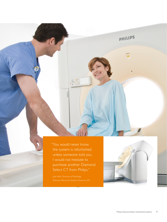"You would never know the system is refurbished unless someone told you. I would not hesitate to purchase another Diamond Select CT from Philips."



PHILIPS